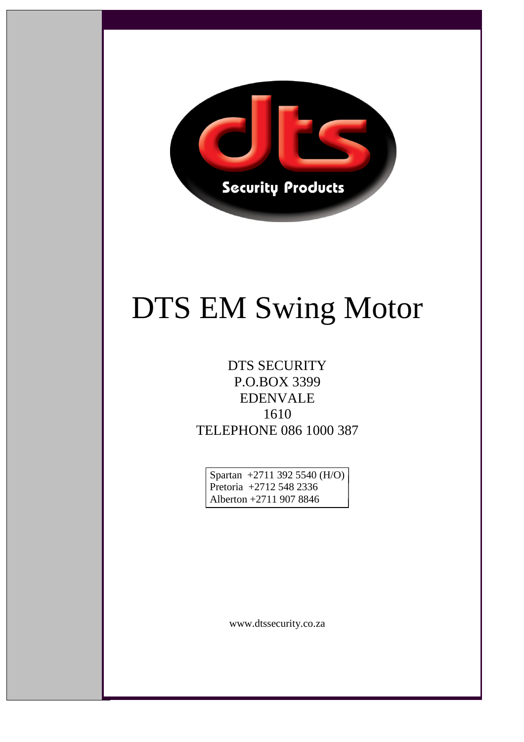

# DTS EM Swing Motor

#### DTS SECURITY P.O.BOX 3399 EDENVALE 1610 TELEPHONE 086 1000 387

Spartan +2711 392 5540 (H/O) Pretoria +2712 548 2336 Alberton +2711 907 8846

www.dtssecurity.co.za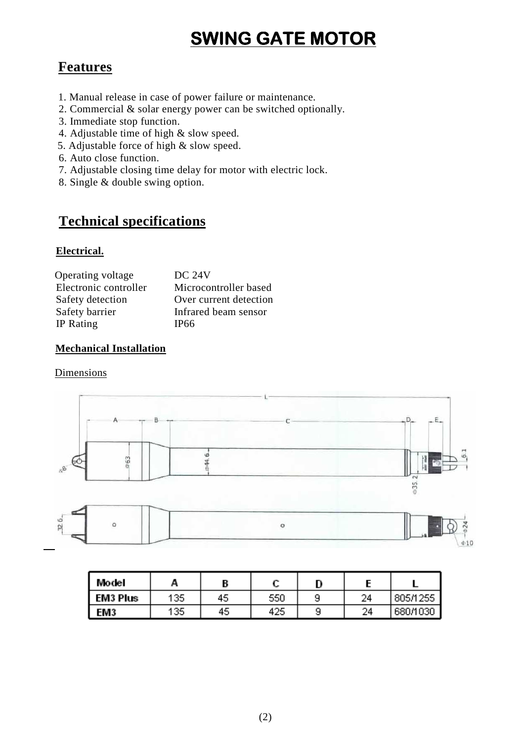## **SWING GATE MOTOR**

#### **Features**

- 1. Manual release in case of power failure or maintenance.
- 2. Commercial & solar energy power can be switched optionally.
- 3. Immediate stop function.
- 4. Adjustable time of high & slow speed.
- 5. Adjustable force of high & slow speed.
- 6. Auto close function.
- 7. Adjustable closing time delay for motor with electric lock.
- 8. Single & double swing option.

#### **Technical specifications**

#### **Electrical.**

| Operating voltage     | <b>DC 24V</b>          |
|-----------------------|------------------------|
| Electronic controller | Microcontroller based  |
| Safety detection      | Over current detection |
| Safety barrier        | Infrared beam sensor   |
| IP Rating             | IP66                   |

#### **Mechanical Installation**

#### Dimensions



| Wodel    | A   |    |     | n |    |          |
|----------|-----|----|-----|---|----|----------|
| EM3 Plus | 135 | 45 | 550 |   | 24 | 805/1255 |
| EM3      | 135 | 45 | 425 | 9 | 24 | 680/1030 |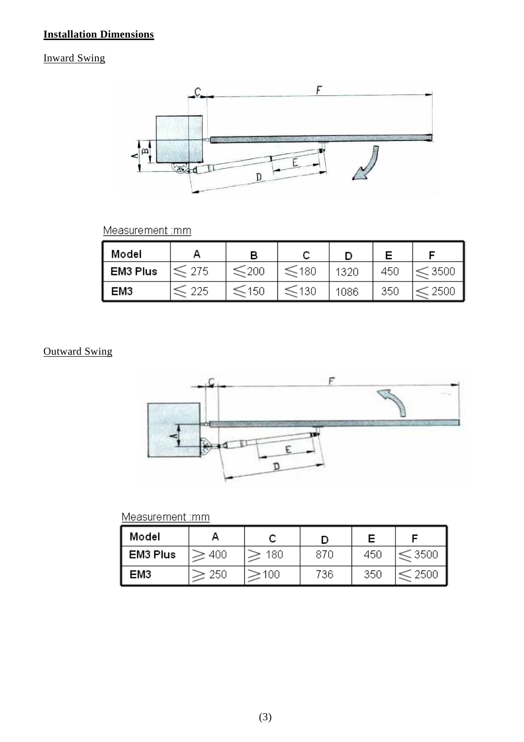#### **Installation Dimensions**

#### Inward Swing



Measurement :mm

| Model    |            |      |            |      |     |         |
|----------|------------|------|------------|------|-----|---------|
| EM3 Plus | $\leq$ 275 | ≤200 | ≤180       | 1320 | 450 | $-350o$ |
| EM3      | 225        | 150  | $\leq$ 130 | 1086 | 350 | -250.   |

#### Outward Swing



#### Measurement : mm

| Model    |     |                  |     |     |      |
|----------|-----|------------------|-----|-----|------|
| EM3 Plus | 400 | 180              | 870 | 450 | 3500 |
| EM3      | 250 | 100 <sub>1</sub> | 736 | 350 | 250U |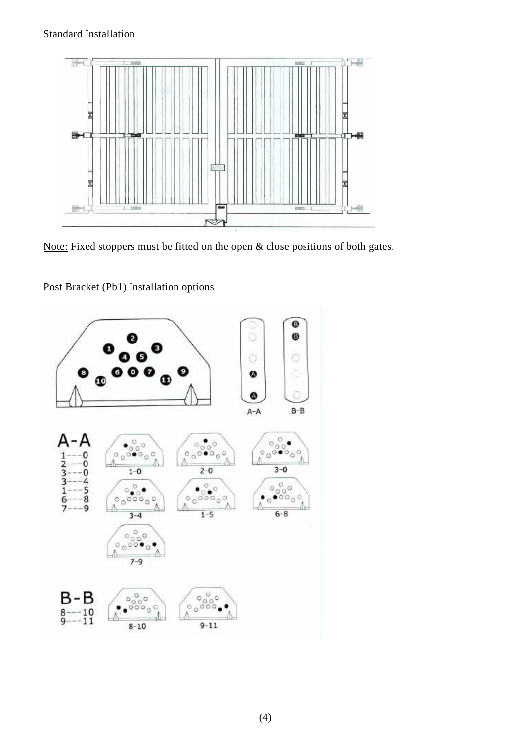

Note: Fixed stoppers must be fitted on the open & close positions of both gates.



Post Bracket (Pb1) Installation options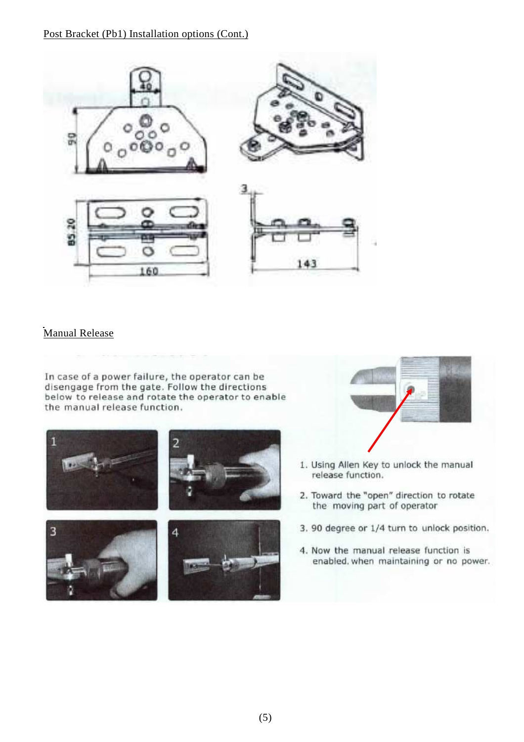Post Bracket (Pb1) Installation options (Cont.)



#### Manual Release

In case of a power failure, the operator can be disengage from the gate. Follow the directions below to release and rotate the operator to enable the manual release function.





- 1. Using Allen Key to unlock the manual release function.
- 2. Toward the "open" direction to rotate the moving part of operator
- 3. 90 degree or 1/4 turn to unlock position.
- 4. Now the manual release function is enabled, when maintaining or no power.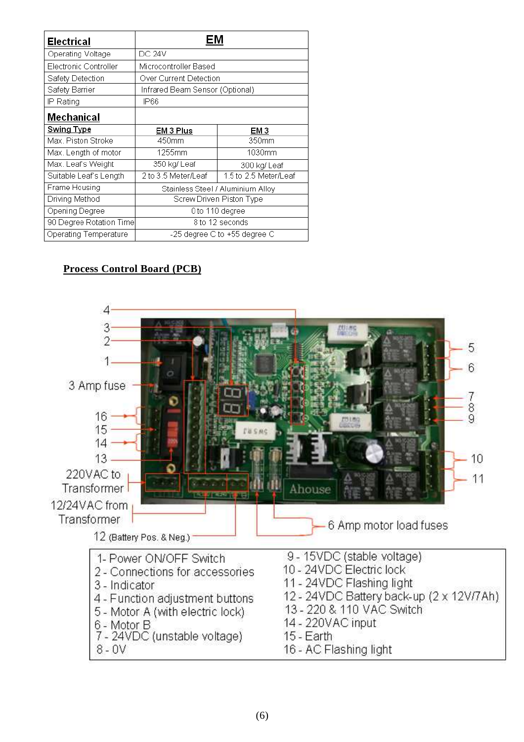| Electrical              | EM                                           |        |  |  |
|-------------------------|----------------------------------------------|--------|--|--|
| Operating Voltage       | <b>DC 24V</b>                                |        |  |  |
| Electronic Controller   | Microcontroller Based                        |        |  |  |
| Safety Detection        | Over Current Detection                       |        |  |  |
| Safety Barrier          | Infrared Beam Sensor (Optional)              |        |  |  |
| IP Rating               | IP66                                         |        |  |  |
| Mechanical              |                                              |        |  |  |
| <b>Swing Type</b>       | EM 3 Plus                                    | EM 3   |  |  |
| Max. Piston Stroke      | 450mm                                        | 350mm  |  |  |
| Max. Length of motor    | 1255mm                                       | 1030mm |  |  |
| Max. Leaf's Weight      | 350 kg/ Leaf<br>300 kg/ Leaf                 |        |  |  |
| Suitable Leaf's Length  | 1.5 to 2.5 Meter/Leaf<br>2 to 3.5 Meter/Leaf |        |  |  |
| Frame Housing           | Stainless Steel / Aluminium Alloy            |        |  |  |
| Driving Method          | Screw Driven Piston Type                     |        |  |  |
| Opening Degree          | 0 to 110 degree                              |        |  |  |
| 90 Degree Rotation Time | $\overline{8}$ to 12 seconds                 |        |  |  |
| Operating Temperature   | -25 degree C to +55 degree C                 |        |  |  |

#### **Process Control Board (PCB)**

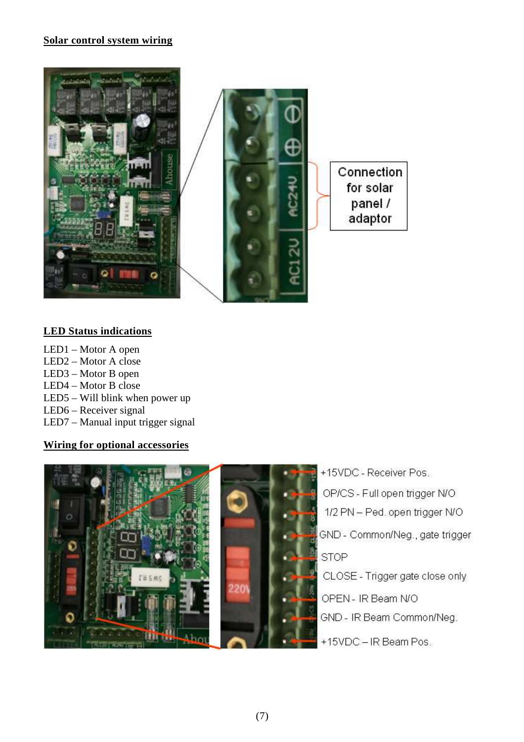#### **Solar control system wiring**



#### **LED Status indications**

LED1 – Motor A open LED2 – Motor A close LED3 – Motor B open LED4 – Motor B close LED5 – Will blink when power up LED6 – Receiver signal LED7 – Manual input trigger signal

#### **Wiring for optional accessories**



+15VDC - Receiver Pos. OP/CS - Full open trigger N/O 1/2 PN - Ped. open trigger N/O GND - Common/Neg., gate trigger **STOP** CLOSE - Trigger gate close only OPEN - IR Beam N/O GND - IR Beam Common/Neg. +15VDC - IR Beam Pos.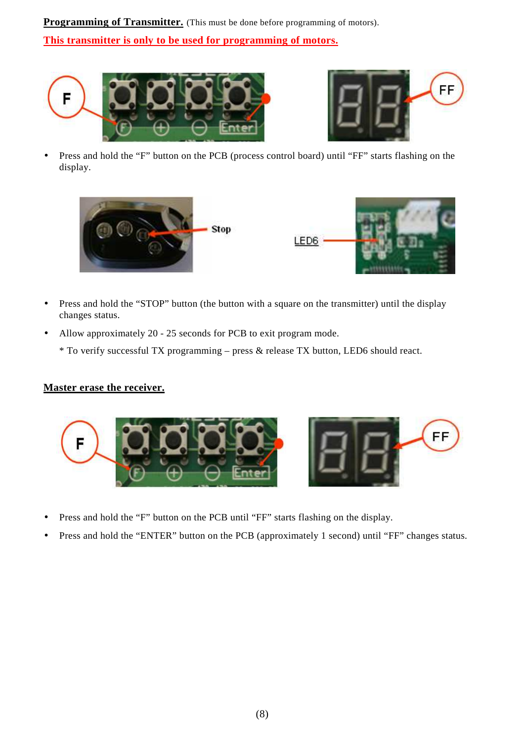**Programming of Transmitter.** (This must be done before programming of motors). **This transmitter is only to be used for programming of motors.**





• Press and hold the "F" button on the PCB (process control board) until "FF" starts flashing on the display.



- Press and hold the "STOP" button (the button with a square on the transmitter) until the display changes status.
- Allow approximately 20 25 seconds for PCB to exit program mode.
	- \* To verify successful TX programming press & release TX button, LED6 should react.

#### **Master erase the receiver.**



- Press and hold the "F" button on the PCB until "FF" starts flashing on the display.
- Press and hold the "ENTER" button on the PCB (approximately 1 second) until "FF" changes status.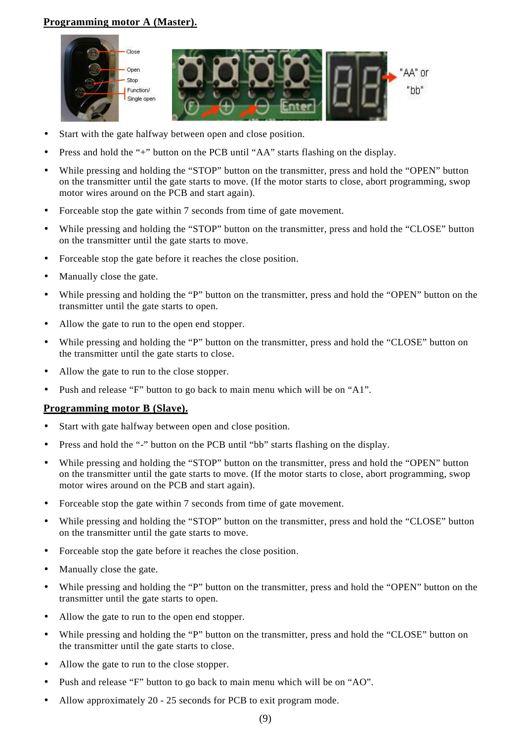#### **Programming motor A (Master).**



- Start with the gate halfway between open and close position.
- Press and hold the "+" button on the PCB until "AA" starts flashing on the display.
- While pressing and holding the "STOP" button on the transmitter, press and hold the "OPEN" button on the transmitter until the gate starts to move. (If the motor starts to close, abort programming, swop motor wires around on the PCB and start again).
- Forceable stop the gate within 7 seconds from time of gate movement.
- While pressing and holding the "STOP" button on the transmitter, press and hold the "CLOSE" button on the transmitter until the gate starts to move.
- Forceable stop the gate before it reaches the close position.
- Manually close the gate.
- While pressing and holding the "P" button on the transmitter, press and hold the "OPEN" button on the transmitter until the gate starts to open.
- Allow the gate to run to the open end stopper.
- While pressing and holding the "P" button on the transmitter, press and hold the "CLOSE" button on the transmitter until the gate starts to close.
- Allow the gate to run to the close stopper.
- Push and release "F" button to go back to main menu which will be on "A1".

#### **Programming motor B (Slave).**

- Start with gate halfway between open and close position.
- Press and hold the "-" button on the PCB until "bb" starts flashing on the display.
- While pressing and holding the "STOP" button on the transmitter, press and hold the "OPEN" button on the transmitter until the gate starts to move. (If the motor starts to close, abort programming, swop motor wires around on the PCB and start again).
- Forceable stop the gate within 7 seconds from time of gate movement.
- While pressing and holding the "STOP" button on the transmitter, press and hold the "CLOSE" button on the transmitter until the gate starts to move.
- Forceable stop the gate before it reaches the close position.
- Manually close the gate.
- While pressing and holding the "P" button on the transmitter, press and hold the "OPEN" button on the transmitter until the gate starts to open.
- Allow the gate to run to the open end stopper.
- While pressing and holding the "P" button on the transmitter, press and hold the "CLOSE" button on the transmitter until the gate starts to close.
- Allow the gate to run to the close stopper.
- Push and release "F" button to go back to main menu which will be on "AO".
- Allow approximately 20 25 seconds for PCB to exit program mode.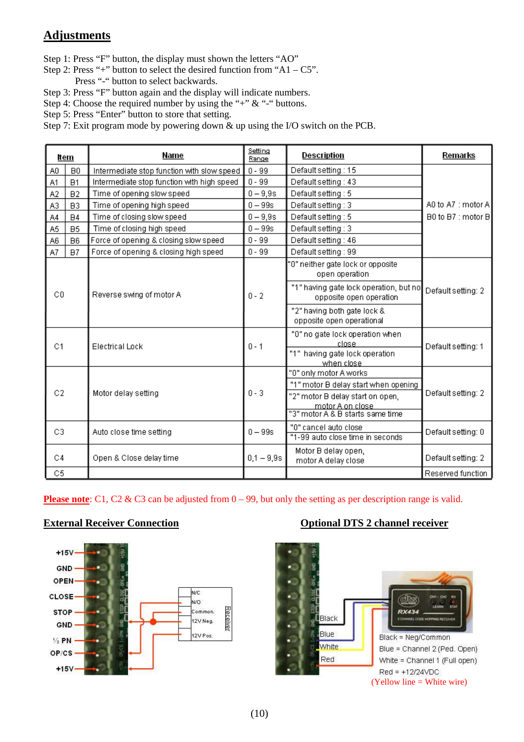#### **Adjustments** <u>.</u>

Step 1: Press "F" button, the display must shown the letters "AO"

- Step 2: Press "+" button to select the desired function from "A1  $C5$ ". Press "-" button to select backwards.
- Step 3: Press "F" button again and the display will indicate numbers.
- Step 4: Choose the required number by using the "+"  $\&$  "-" buttons.
- Step 5: Press "Enter" button to store that setting.
- Step 7: Exit program mode by powering down & up using the I/O switch on the PCB.

|                | ltern          | Name                                       | Setting<br>Range | Description                                                       | Remarks            |  |
|----------------|----------------|--------------------------------------------|------------------|-------------------------------------------------------------------|--------------------|--|
| A0             | B <sub>0</sub> | Intermediate stop function with slow speed | $0 - 99$         | Default setting: 15                                               |                    |  |
| A1             | B1             | Intermediate stop function with high speed | $0 - 99$         | Default setting : 43                                              |                    |  |
| A <sub>2</sub> | B2             | Time of opening slow speed                 | $0 - 9,9s$       | Default setting: 5                                                |                    |  |
| A3             | B <sub>3</sub> | Time of opening high speed                 | $0 - 99s$        | Default setting : 3                                               | A0 to A7 : motor A |  |
| A4             | <b>B4</b>      | Time of closing slow speed                 | $0 - 9.9s$       | Default setting: 5                                                | B0 to B7 : motor B |  |
| A5             | B <sub>5</sub> | Time of closing high speed                 | $0 - 99s$        | Default setting: 3                                                |                    |  |
| A6             | B <sub>6</sub> | Force of opening & closing slow speed      | $0 - 99$         | Default setting: 46                                               |                    |  |
| A7             | B7             | Force of opening & closing high speed      | $0 - 99$         | Default setting: 99                                               |                    |  |
|                |                |                                            |                  | "0" neither gate lock or opposite<br>open operation               |                    |  |
| C <sub>0</sub> |                | Reverse swing of motor A                   | $0 - 2$          | "1" having gate lock operation, but no<br>opposite open operation | Default setting: 2 |  |
|                |                |                                            |                  | "2" having both gate lock &<br>opposite open operational          |                    |  |
| C1             |                | <b>Electrical Lock</b>                     | $0 - 1$          | "0" no gate lock operation when<br>close                          | Default setting: 1 |  |
|                |                |                                            |                  | "1" having gate lock operation<br>when close                      |                    |  |
|                |                |                                            |                  | "0" only motor A works                                            |                    |  |
|                |                |                                            |                  | "1" motor B delay start when opening                              |                    |  |
| C2             |                | Motor delay setting                        | $0 - 3$          | "2" motor B delay start on open,                                  | Default setting: 2 |  |
|                |                |                                            |                  | motor A on close                                                  |                    |  |
|                |                |                                            |                  | "3" motor A & B starts same time                                  |                    |  |
| C <sub>3</sub> |                | Auto close time setting                    | $0 - 99s$        | "O" cancel auto close<br>"1-99 auto close time in seconds         | Default setting: 0 |  |
|                |                |                                            |                  |                                                                   |                    |  |
| C4             |                | Open & Close delay time                    | $0.1 - 9.9s$     | Motor B delay open,<br>motor A delay close                        | Default setting: 2 |  |
| C5             |                |                                            |                  |                                                                   | Reserved function  |  |

**Please note**: C1, C2 & C3 can be adjusted from  $0 - 99$ , but only the setting as per description range is valid.



#### **External Receiver Connection CONNECTION CONNECTION** Optional DTS 2 channel receiver